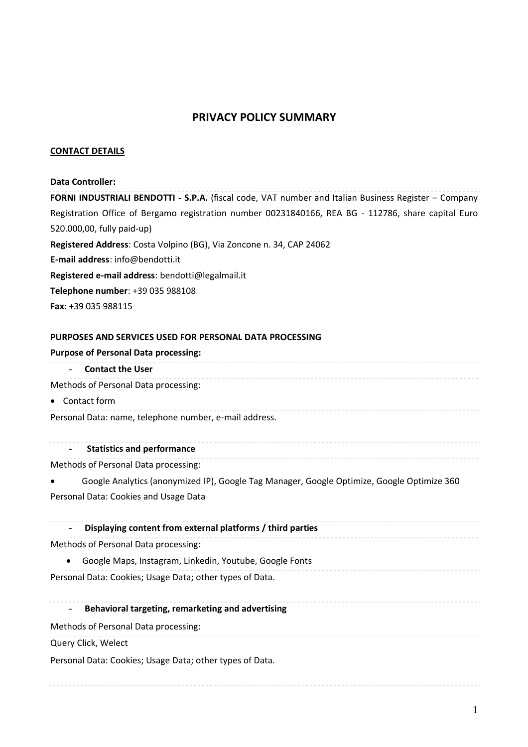# **PRIVACY POLICY SUMMARY**

### **CONTACT DETAILS**

### **Data Controller:**

**FORNI INDUSTRIALI BENDOTTI - S.P.A.** (fiscal code, VAT number and Italian Business Register – Company Registration Office of Bergamo registration number 00231840166, REA BG - 112786, share capital Euro 520.000,00, fully paid-up) **Registered Address**: Costa Volpino (BG), Via Zoncone n. 34, CAP 24062

**E-mail address**: info@bendotti.it

**Registered e-mail address**: bendotti@legalmail.it

**Telephone number**: +39 035 988108

**Fax:** +39 035 988115

#### **PURPOSES AND SERVICES USED FOR PERSONAL DATA PROCESSING**

#### **Purpose of Personal Data processing:**

- **Contact the User**

Methods of Personal Data processing:

• Contact form

Personal Data: name, telephone number, e-mail address.

#### - **Statistics and performance**

Methods of Personal Data processing:

• Google Analytics (anonymized IP), Google Tag Manager, Google Optimize, Google Optimize 360 Personal Data: Cookies and Usage Data

### - **Displaying content from external platforms / third parties**

Methods of Personal Data processing:

• Google Maps, Instagram, Linkedin, Youtube, Google Fonts

Personal Data: Cookies; Usage Data; other types of Data.

#### - **Behavioral targeting, remarketing and advertising**

Methods of Personal Data processing:

Query Click, Welect

Personal Data: Cookies; Usage Data; other types of Data.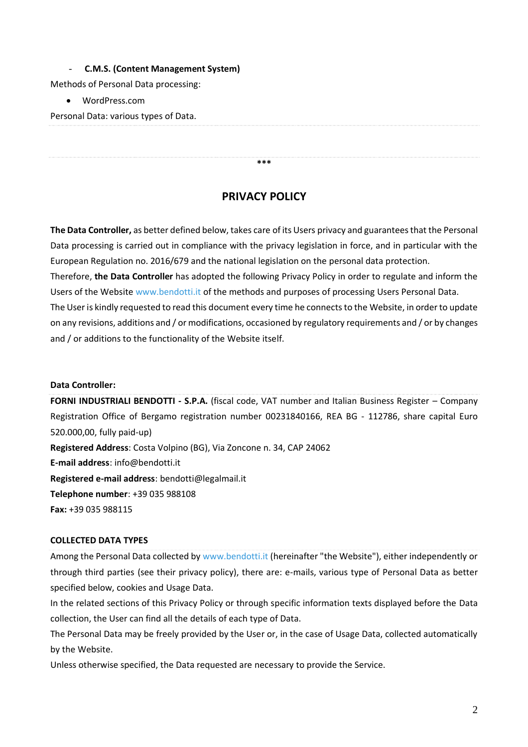### - **C.M.S. (Content Management System)**

Methods of Personal Data processing:

• WordPress.com

Personal Data: various types of Data.

# **PRIVACY POLICY**

**\*\*\***

**The Data Controller,** as better defined below, takes care of its Users privacy and guarantees that the Personal Data processing is carried out in compliance with the privacy legislation in force, and in particular with the European Regulation no. 2016/679 and the national legislation on the personal data protection.

Therefore, **the Data Controller** has adopted the following Privacy Policy in order to regulate and inform the Users of the Website [www.bendotti.it](http://www.bendotti.it/) of the methods and purposes of processing Users Personal Data. The User is kindly requested to read this document every time he connects to the Website, in order to update on any revisions, additions and / or modifications, occasioned by regulatory requirements and / or by changes

and / or additions to the functionality of the Website itself.

### **Data Controller:**

**FORNI INDUSTRIALI BENDOTTI - S.P.A.** (fiscal code, VAT number and Italian Business Register – Company Registration Office of Bergamo registration number 00231840166, REA BG - 112786, share capital Euro 520.000,00, fully paid-up) **Registered Address**: Costa Volpino (BG), Via Zoncone n. 34, CAP 24062 **E-mail address**: info@bendotti.it **Registered e-mail address**: bendotti@legalmail.it **Telephone number**: +39 035 988108

**Fax:** +39 035 988115

### **COLLECTED DATA TYPES**

Among the Personal Data collected by [www.bendotti.it](http://www.bendotti.it/) (hereinafter "the Website"), either independently or through third parties (see their privacy policy), there are: e-mails, various type of Personal Data as better specified below, cookies and Usage Data.

In the related sections of this Privacy Policy or through specific information texts displayed before the Data collection, the User can find all the details of each type of Data.

The Personal Data may be freely provided by the User or, in the case of Usage Data, collected automatically by the Website.

Unless otherwise specified, the Data requested are necessary to provide the Service.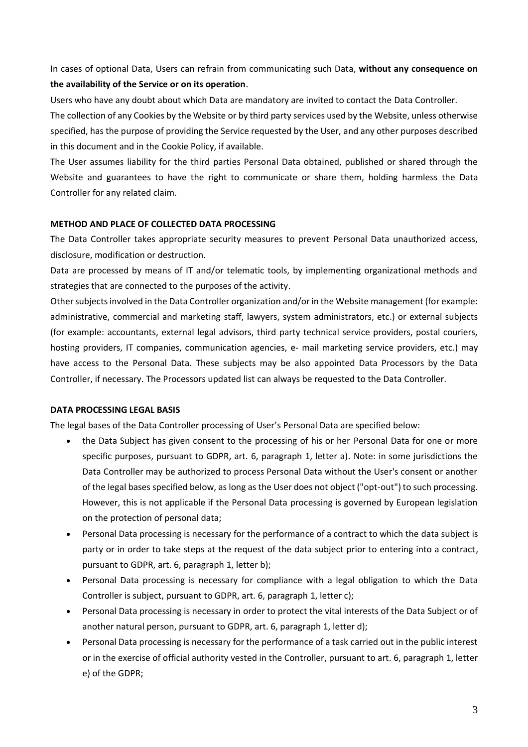In cases of optional Data, Users can refrain from communicating such Data, **without any consequence on the availability of the Service or on its operation**.

Users who have any doubt about which Data are mandatory are invited to contact the Data Controller.

The collection of any Cookies by the Website or by third party services used by the Website, unless otherwise specified, has the purpose of providing the Service requested by the User, and any other purposes described in this document and in the Cookie Policy, if available.

The User assumes liability for the third parties Personal Data obtained, published or shared through the Website and guarantees to have the right to communicate or share them, holding harmless the Data Controller for any related claim.

## **METHOD AND PLACE OF COLLECTED DATA PROCESSING**

The Data Controller takes appropriate security measures to prevent Personal Data unauthorized access, disclosure, modification or destruction.

Data are processed by means of IT and/or telematic tools, by implementing organizational methods and strategies that are connected to the purposes of the activity.

Other subjects involved in the Data Controller organization and/or in the Website management (for example: administrative, commercial and marketing staff, lawyers, system administrators, etc.) or external subjects (for example: accountants, external legal advisors, third party technical service providers, postal couriers, hosting providers, IT companies, communication agencies, e- mail marketing service providers, etc.) may have access to the Personal Data. These subjects may be also appointed Data Processors by the Data Controller, if necessary. The Processors updated list can always be requested to the Data Controller.

## **DATA PROCESSING LEGAL BASIS**

The legal bases of the Data Controller processing of User's Personal Data are specified below:

- the Data Subject has given consent to the processing of his or her Personal Data for one or more specific purposes, pursuant to GDPR, art. 6, paragraph 1, letter a). Note: in some jurisdictions the Data Controller may be authorized to process Personal Data without the User's consent or another of the legal bases specified below, as long as the User does not object ("opt-out") to such processing. However, this is not applicable if the Personal Data processing is governed by European legislation on the protection of personal data;
- Personal Data processing is necessary for the performance of a contract to which the data subject is party or in order to take steps at the request of the data subject prior to entering into a contract, pursuant to GDPR, art. 6, paragraph 1, letter b);
- Personal Data processing is necessary for compliance with a legal obligation to which the Data Controller is subject, pursuant to GDPR, art. 6, paragraph 1, letter c);
- Personal Data processing is necessary in order to protect the vital interests of the Data Subject or of another natural person, pursuant to GDPR, art. 6, paragraph 1, letter d);
- Personal Data processing is necessary for the performance of a task carried out in the public interest or in the exercise of official authority vested in the Controller, pursuant to art. 6, paragraph 1, letter e) of the GDPR;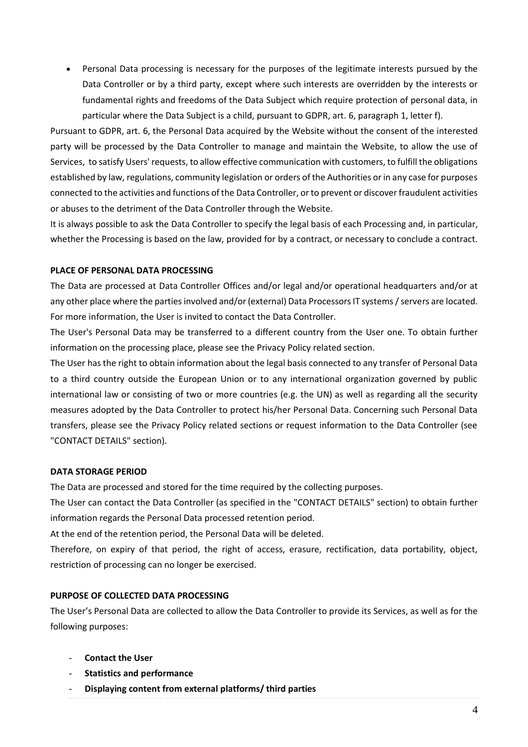• Personal Data processing is necessary for the purposes of the legitimate interests pursued by the Data Controller or by a third party, except where such interests are overridden by the interests or fundamental rights and freedoms of the Data Subject which require protection of personal data, in particular where the Data Subject is a child, pursuant to GDPR, art. 6, paragraph 1, letter f).

Pursuant to GDPR, art. 6, the Personal Data acquired by the Website without the consent of the interested party will be processed by the Data Controller to manage and maintain the Website, to allow the use of Services, to satisfy Users' requests, to allow effective communication with customers, to fulfill the obligations established by law, regulations, community legislation or orders of the Authorities or in any case for purposes connected to the activities and functions of the Data Controller, or to prevent or discover fraudulent activities or abuses to the detriment of the Data Controller through the Website.

It is always possible to ask the Data Controller to specify the legal basis of each Processing and, in particular, whether the Processing is based on the law, provided for by a contract, or necessary to conclude a contract.

## **PLACE OF PERSONAL DATA PROCESSING**

The Data are processed at Data Controller Offices and/or legal and/or operational headquarters and/or at any other place where the parties involved and/or (external) Data Processors IT systems / servers are located. For more information, the User is invited to contact the Data Controller.

The User's Personal Data may be transferred to a different country from the User one. To obtain further information on the processing place, please see the Privacy Policy related section.

The User has the right to obtain information about the legal basis connected to any transfer of Personal Data to a third country outside the European Union or to any international organization governed by public international law or consisting of two or more countries (e.g. the UN) as well as regarding all the security measures adopted by the Data Controller to protect his/her Personal Data. Concerning such Personal Data transfers, please see the Privacy Policy related sections or request information to the Data Controller (see "CONTACT DETAILS" section).

# **DATA STORAGE PERIOD**

The Data are processed and stored for the time required by the collecting purposes.

The User can contact the Data Controller (as specified in the "CONTACT DETAILS" section) to obtain further information regards the Personal Data processed retention period.

At the end of the retention period, the Personal Data will be deleted.

Therefore, on expiry of that period, the right of access, erasure, rectification, data portability, object, restriction of processing can no longer be exercised.

## **PURPOSE OF COLLECTED DATA PROCESSING**

The User's Personal Data are collected to allow the Data Controller to provide its Services, as well as for the following purposes:

- **Contact the User**
- **Statistics and performance**
- **Displaying content from external platforms/ third parties**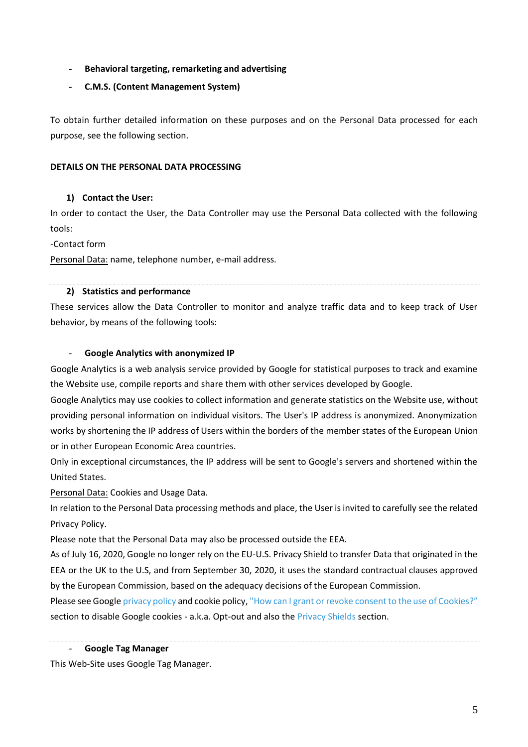- **Behavioral targeting, remarketing and advertising**
- **C.M.S. (Content Management System)**

To obtain further detailed information on these purposes and on the Personal Data processed for each purpose, see the following section.

## **DETAILS ON THE PERSONAL DATA PROCESSING**

# **1) Contact the User:**

In order to contact the User, the Data Controller may use the Personal Data collected with the following tools:

## -Contact form

Personal Data: name, telephone number, e-mail address.

# **2) Statistics and performance**

These services allow the Data Controller to monitor and analyze traffic data and to keep track of User behavior, by means of the following tools:

## - **Google Analytics with anonymized IP**

Google Analytics is a web analysis service provided by Google for statistical purposes to track and examine the Website use, compile reports and share them with other services developed by Google.

Google Analytics may use cookies to collect information and generate statistics on the Website use, without providing personal information on individual visitors. The User's IP address is anonymized. Anonymization works by shortening the IP address of Users within the borders of the member states of the European Union or in other European Economic Area countries.

Only in exceptional circumstances, the IP address will be sent to Google's servers and shortened within the United States.

Personal Data: Cookies and Usage Data.

In relation to the Personal Data processing methods and place, the User is invited to carefully see the related Privacy Policy.

Please note that the Personal Data may also be processed outside the EEA.

As of July 16, 2020, Google no longer rely on the EU-U.S. Privacy Shield to transfer Data that originated in the EEA or the UK to the U.S, and from September 30, 2020, it uses the standard contractual clauses approved by the European Commission, based on the adequacy decisions of the European Commission.

Please see Google [privacy policy](https://policies.google.com/privacy?hl=it) and cookie policy, ["How can I grant or revoke consent to the use of Cookies?"](https://wordpress-753593-2627404.cloudwaysapps.com/wp-content/uploads/2022/05/cookie-policy-en.pdf#page=11) section to disable Google cookies - a.k.a. Opt-out and also the [Privacy Shields](https://wordpress-753593-2627404.cloudwaysapps.com/wp-content/uploads/2022/05/cookie-policy-en.pdf#page=10) section.

## - **Google Tag Manager**

This Web-Site uses Google Tag Manager.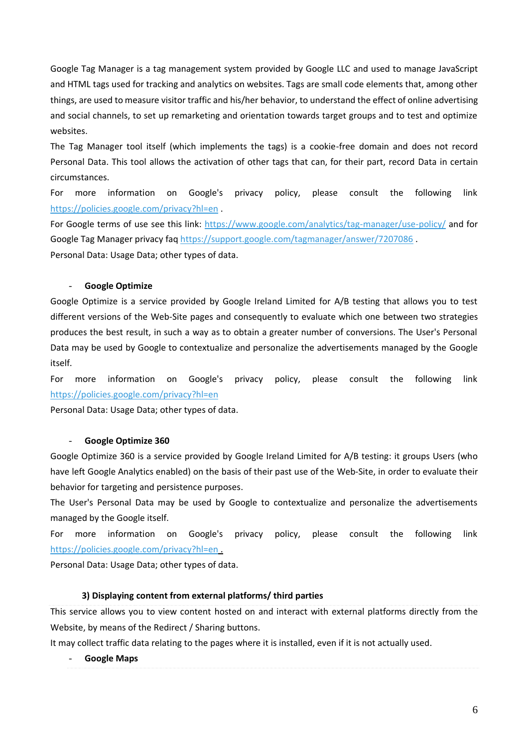Google Tag Manager is a tag management system provided by Google LLC and used to manage JavaScript and HTML tags used for tracking and analytics on websites. Tags are small code elements that, among other things, are used to measure visitor traffic and his/her behavior, to understand the effect of online advertising and social channels, to set up remarketing and orientation towards target groups and to test and optimize websites.

The Tag Manager tool itself (which implements the tags) is a cookie-free domain and does not record Personal Data. This tool allows the activation of other tags that can, for their part, record Data in certain circumstances.

For more information on Google's privacy policy, please consult the following link <https://policies.google.com/privacy?hl=en>.

For Google terms of use see this link:<https://www.google.com/analytics/tag-manager/use-policy/> and for Google Tag Manager privacy faq <https://support.google.com/tagmanager/answer/7207086> . Personal Data: Usage Data; other types of data.

### - **Google Optimize**

Google Optimize is a service provided by Google Ireland Limited for A/B testing that allows you to test different versions of the Web-Site pages and consequently to evaluate which one between two strategies produces the best result, in such a way as to obtain a greater number of conversions. The User's Personal Data may be used by Google to contextualize and personalize the advertisements managed by the Google itself.

For more information on Google's privacy policy, please consult the following link <https://policies.google.com/privacy?hl=en>

Personal Data: Usage Data; other types of data.

## - **Google Optimize 360**

Google Optimize 360 is a service provided by Google Ireland Limited for A/B testing: it groups Users (who have left Google Analytics enabled) on the basis of their past use of the Web-Site, in order to evaluate their behavior for targeting and persistence purposes.

The User's Personal Data may be used by Google to contextualize and personalize the advertisements managed by the Google itself.

For more information on Google's privacy policy, please consult the following link <https://policies.google.com/privacy?hl=en> .

Personal Data: Usage Data; other types of data.

### **3) Displaying content from external platforms/ third parties**

This service allows you to view content hosted on and interact with external platforms directly from the Website, by means of the Redirect / Sharing buttons.

It may collect traffic data relating to the pages where it is installed, even if it is not actually used.

- **Google Maps**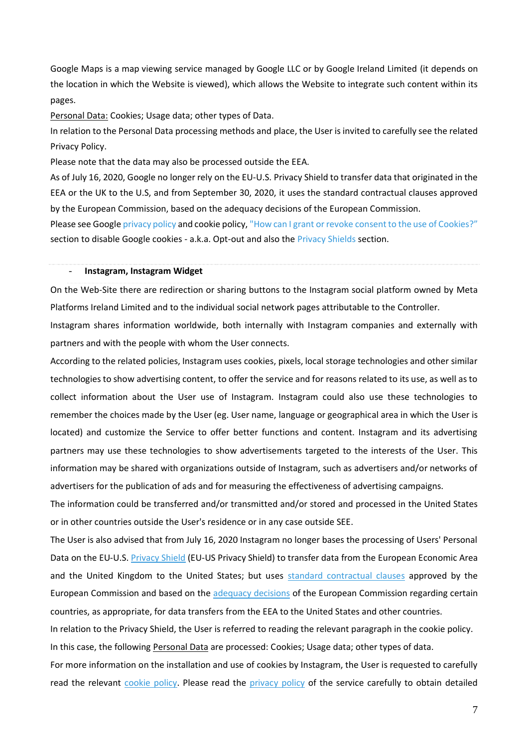Google Maps is a map viewing service managed by Google LLC or by Google Ireland Limited (it depends on the location in which the Website is viewed), which allows the Website to integrate such content within its pages.

Personal Data: Cookies; Usage data; other types of Data.

In relation to the Personal Data processing methods and place, the User is invited to carefully see the related Privacy Policy.

Please note that the data may also be processed outside the EEA.

As of July 16, 2020, Google no longer rely on the EU-U.S. Privacy Shield to transfer data that originated in the EEA or the UK to the U.S, and from September 30, 2020, it uses the standard contractual clauses approved by the European Commission, based on the adequacy decisions of the European Commission.

Please see Google [privacy policy](https://policies.google.com/privacy?hl=it) and cookie policy, ["How can I grant or revoke consent to the use of Cookies?"](https://wordpress-753593-2627404.cloudwaysapps.com/wp-content/uploads/2022/05/cookie-policy-en.pdf#page=11) section to disable Google cookies - a.k.a. Opt-out and also the [Privacy Shields](https://wordpress-753593-2627404.cloudwaysapps.com/wp-content/uploads/2022/05/cookie-policy-en.pdf#page=10) section.

#### - **Instagram, Instagram Widget**

On the Web-Site there are redirection or sharing buttons to the Instagram social platform owned by Meta Platforms Ireland Limited and to the individual social network pages attributable to the Controller.

Instagram shares information worldwide, both internally with Instagram companies and externally with partners and with the people with whom the User connects.

According to the related policies, Instagram uses cookies, pixels, local storage technologies and other similar technologies to show advertising content, to offer the service and for reasons related to its use, as well as to collect information about the User use of Instagram. Instagram could also use these technologies to remember the choices made by the User (eg. User name, language or geographical area in which the User is located) and customize the Service to offer better functions and content. Instagram and its advertising partners may use these technologies to show advertisements targeted to the interests of the User. This information may be shared with organizations outside of Instagram, such as advertisers and/or networks of advertisers for the publication of ads and for measuring the effectiveness of advertising campaigns.

The information could be transferred and/or transmitted and/or stored and processed in the United States or in other countries outside the User's residence or in any case outside SEE.

The User is also advised that from July 16, 2020 Instagram no longer bases the processing of Users' Personal Data on the EU-U.S[. Privacy Shield](https://policies.google.com/privacy/frameworks?hl=en) (EU-US Privacy Shield) to transfer data from the European Economic Area and the United Kingdom to the United States; but uses [standard contractual clauses](https://www.facebook.com/help/566994660333381?ref=dp) approved by the European Commission and based on the [adequacy decisions](https://ec.europa.eu/info/law/law-topic/data-protection/international-dimension-data-protection/adequacy-decisions_en) of the European Commission regarding certain countries, as appropriate, for data transfers from the EEA to the United States and other countries.

In relation to the Privacy Shield, the User is referred to reading the relevant paragraph in the cookie policy.

In this case, the following Personal Data are processed: Cookies; Usage data; other types of data.

For more information on the installation and use of cookies by Instagram, the User is requested to carefully read the relevant [cookie](https://help.instagram.com/1896641480634370?ref=ig) policy. Please read the [privacy policy](https://help.instagram.com/519522125107875) of the service carefully to obtain detailed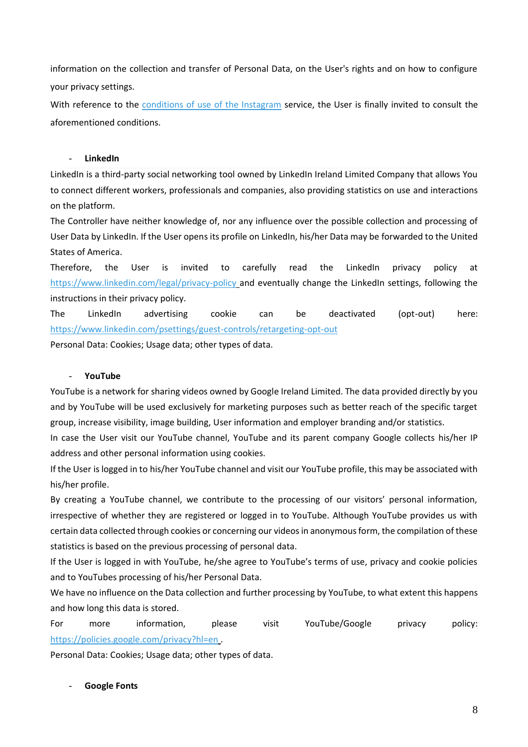information on the collection and transfer of Personal Data, on the User's rights and on how to configure your privacy settings.

With reference to the [conditions of use of the Instagram](https://help.instagram.com/581066165581870) service, the User is finally invited to consult the aforementioned conditions.

### - **LinkedIn**

LinkedIn is a third-party social networking tool owned by LinkedIn Ireland Limited Company that allows You to connect different workers, professionals and companies, also providing statistics on use and interactions on the platform.

The Controller have neither knowledge of, nor any influence over the possible collection and processing of User Data by LinkedIn. If the User opens its profile on LinkedIn, his/her Data may be forwarded to the United States of America.

Therefore, the User is invited to carefully read the LinkedIn privacy policy at <https://www.linkedin.com/legal/privacy-policy> and eventually change the LinkedIn settings, following the instructions in their privacy policy.

The LinkedIn advertising cookie can be deactivated (opt-out) here: <https://www.linkedin.com/psettings/guest-controls/retargeting-opt-out>

Personal Data: Cookies; Usage data; other types of data.

### - **YouTube**

YouTube is a network for sharing videos owned by Google Ireland Limited. The data provided directly by you and by YouTube will be used exclusively for marketing purposes such as better reach of the specific target group, increase visibility, image building, User information and employer branding and/or statistics.

In case the User visit our YouTube channel, YouTube and its parent company Google collects his/her IP address and other personal information using cookies.

If the User is logged in to his/her YouTube channel and visit our YouTube profile, this may be associated with his/her profile.

By creating a YouTube channel, we contribute to the processing of our visitors' personal information, irrespective of whether they are registered or logged in to YouTube. Although YouTube provides us with certain data collected through cookies or concerning our videos in anonymous form, the compilation of these statistics is based on the previous processing of personal data.

If the User is logged in with YouTube, he/she agree to YouTube's terms of use, privacy and cookie policies and to YouTubes processing of his/her Personal Data.

We have no influence on the Data collection and further processing by YouTube, to what extent this happens and how long this data is stored.

For more information, please visit YouTube/Google privacy policy: <https://policies.google.com/privacy?hl=en> .

Personal Data: Cookies; Usage data; other types of data.

- **Google Fonts**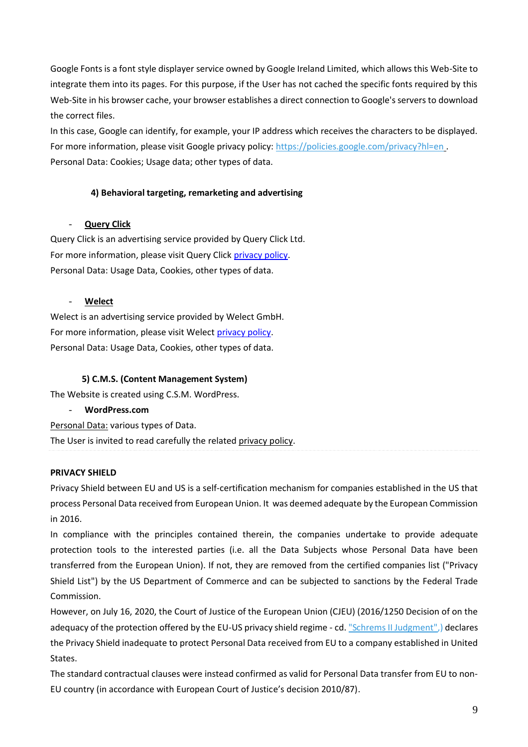Google Fonts is a font style displayer service owned by Google Ireland Limited, which allows this Web-Site to integrate them into its pages. For this purpose, if the User has not cached the specific fonts required by this Web-Site in his browser cache, your browser establishes a direct connection to Google's servers to download the correct files.

In this case, Google can identify, for example, your IP address which receives the characters to be displayed. For more information, please visit Google privacy policy:<https://policies.google.com/privacy?hl=en> . Personal Data: Cookies; Usage data; other types of data.

# **4) Behavioral targeting, remarketing and advertising**

# **Query Click**

Query Click is an advertising service provided by Query Click Ltd. For more information, please visit Query Click [privacy policy.](https://www.queryclick.com/privacy-policy) Personal Data: Usage Data, Cookies, other types of data.

## - **Welect**

Welect is an advertising service provided by Welect GmbH. For more information, please visit Welect [privacy policy.](https://www.de.welect.de/datenschutz?lang=en) Personal Data: Usage Data, Cookies, other types of data.

## **5) C.M.S. (Content Management System)**

The Website is created using C.S.M. WordPress.

## - **WordPress.com**

Personal Data: various types of Data.

The User is invited to read carefully the related [privacy policy.](https://wordpress.com/support/your-site-and-the-gdpr/)

## **PRIVACY SHIELD**

Privacy Shield between EU and US is a self-certification mechanism for companies established in the US that process Personal Data received from European Union. It was deemed adequate by the European Commission in 2016.

In compliance with the principles contained therein, the companies undertake to provide adequate protection tools to the interested parties (i.e. all the Data Subjects whose Personal Data have been transferred from the European Union). If not, they are removed from the certified companies list ("Privacy Shield List") by the US Department of Commerce and can be subjected to sanctions by the Federal Trade Commission.

However, on July 16, 2020, the Court of Justice of the European Union (CJEU) (2016/1250 Decision of on the adequacy of the protection offered by the EU-US privacy shield regime - cd[. "Schrems II Judgment",\)](https://curia.europa.eu/jcms/upload/docs/application/pdf/2020-07/cp200091it.pdf) declares the Privacy Shield inadequate to protect Personal Data received from EU to a company established in United States.

The standard contractual clauses were instead confirmed as valid for Personal Data transfer from EU to non-EU country (in accordance with European Court of Justice's decision 2010/87).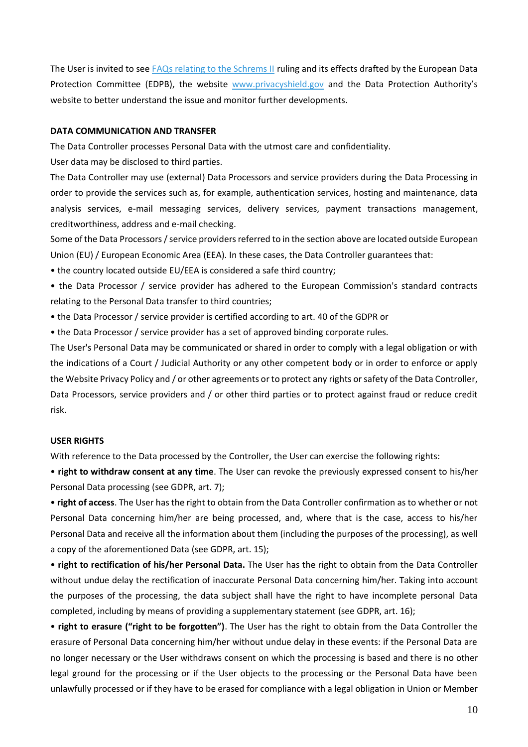The User is invited to see [FAQs relating to the Schrems II](https://edpb.europa.eu/our-work-tools/our-documents/ohrajn/frequently-asked-questions-judgment-court-justice-european-union_en) ruling and its effects drafted by the European Data Protection Committee (EDPB), the website [www.privacyshield.gov](http://www.privacyshield.gov/) and the Data Protection Authority's website to better understand the issue and monitor further developments.

#### **DATA COMMUNICATION AND TRANSFER**

The Data Controller processes Personal Data with the utmost care and confidentiality.

User data may be disclosed to third parties.

The Data Controller may use (external) Data Processors and service providers during the Data Processing in order to provide the services such as, for example, authentication services, hosting and maintenance, data analysis services, e-mail messaging services, delivery services, payment transactions management, creditworthiness, address and e-mail checking.

Some of the Data Processors / service providers referred to in the section above are located outside European Union (EU) / European Economic Area (EEA). In these cases, the Data Controller guarantees that:

• the country located outside EU/EEA is considered a safe third country;

• the Data Processor / service provider has adhered to the European Commission's standard contracts relating to the Personal Data transfer to third countries;

• the Data Processor / service provider is certified according to art. 40 of the GDPR or

• the Data Processor / service provider has a set of approved binding corporate rules.

The User's Personal Data may be communicated or shared in order to comply with a legal obligation or with the indications of a Court / Judicial Authority or any other competent body or in order to enforce or apply the Website Privacy Policy and / or other agreements or to protect any rights or safety of the Data Controller, Data Processors, service providers and / or other third parties or to protect against fraud or reduce credit risk.

### **USER RIGHTS**

With reference to the Data processed by the Controller, the User can exercise the following rights:

• **right to withdraw consent at any time**. The User can revoke the previously expressed consent to his/her Personal Data processing (see GDPR, art. 7);

• **right of access**. The User has the right to obtain from the Data Controller confirmation as to whether or not Personal Data concerning him/her are being processed, and, where that is the case, access to his/her Personal Data and receive all the information about them (including the purposes of the processing), as well a copy of the aforementioned Data (see GDPR, art. 15);

• **right to rectification of his/her Personal Data.** The User has the right to obtain from the Data Controller without undue delay the rectification of inaccurate Personal Data concerning him/her. Taking into account the purposes of the processing, the data subject shall have the right to have incomplete personal Data completed, including by means of providing a supplementary statement (see GDPR, art. 16);

• **right to erasure ("right to be forgotten")**. The User has the right to obtain from the Data Controller the erasure of Personal Data concerning him/her without undue delay in these events: if the Personal Data are no longer necessary or the User withdraws consent on which the processing is based and there is no other legal ground for the processing or if the User objects to the processing or the Personal Data have been unlawfully processed or if they have to be erased for compliance with a legal obligation in Union or Member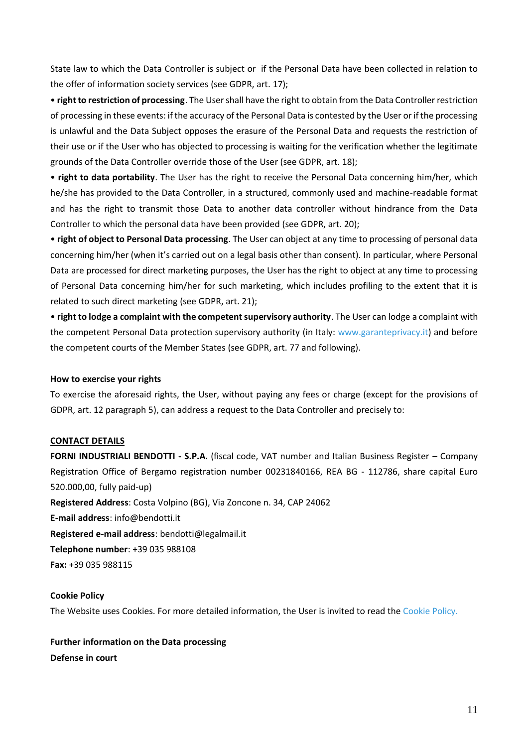State law to which the Data Controller is subject or if the Personal Data have been collected in relation to the offer of information society services (see GDPR, art. 17);

• **right to restriction of processing**. The User shall have the right to obtain from the Data Controller restriction of processing in these events: if the accuracy of the Personal Data is contested by the User or if the processing is unlawful and the Data Subject opposes the erasure of the Personal Data and requests the restriction of their use or if the User who has objected to processing is waiting for the verification whether the legitimate grounds of the Data Controller override those of the User (see GDPR, art. 18);

• **right to data portability**. The User has the right to receive the Personal Data concerning him/her, which he/she has provided to the Data Controller, in a structured, commonly used and machine-readable format and has the right to transmit those Data to another data controller without hindrance from the Data Controller to which the personal data have been provided (see GDPR, art. 20);

• **right of object to Personal Data processing**. The User can object at any time to processing of personal data concerning him/her (when it's carried out on a legal basis other than consent). In particular, where Personal Data are processed for direct marketing purposes, the User has the right to object at any time to processing of Personal Data concerning him/her for such marketing, which includes profiling to the extent that it is related to such direct marketing (see GDPR, art. 21);

• **right to lodge a complaint with the competent supervisory authority**. The User can lodge a complaint with the competent Personal Data protection supervisory authority (in Italy: [www.garanteprivacy.it\)](http://www.garanteprivacy.it/) and before the competent courts of the Member States (see GDPR, art. 77 and following).

### **How to exercise your rights**

To exercise the aforesaid rights, the User, without paying any fees or charge (except for the provisions of GDPR, art. 12 paragraph 5), can address a request to the Data Controller and precisely to:

### **CONTACT DETAILS**

**FORNI INDUSTRIALI BENDOTTI - S.P.A.** (fiscal code, VAT number and Italian Business Register – Company Registration Office of Bergamo registration number 00231840166, REA BG - 112786, share capital Euro 520.000,00, fully paid-up) **Registered Address**: Costa Volpino (BG), Via Zoncone n. 34, CAP 24062 **E-mail address**: info@bendotti.it **Registered e-mail address**: bendotti@legalmail.it **Telephone number**: +39 035 988108

**Fax:** +39 035 988115

### **Cookie Policy**

The Website uses Cookies. For more detailed information, the User is invited to read the [Cookie Policy.](https://wordpress-753593-2627404.cloudwaysapps.com/wp-content/uploads/2022/05/cookie-policy-en.pdf)

**Further information on the Data processing Defense in court**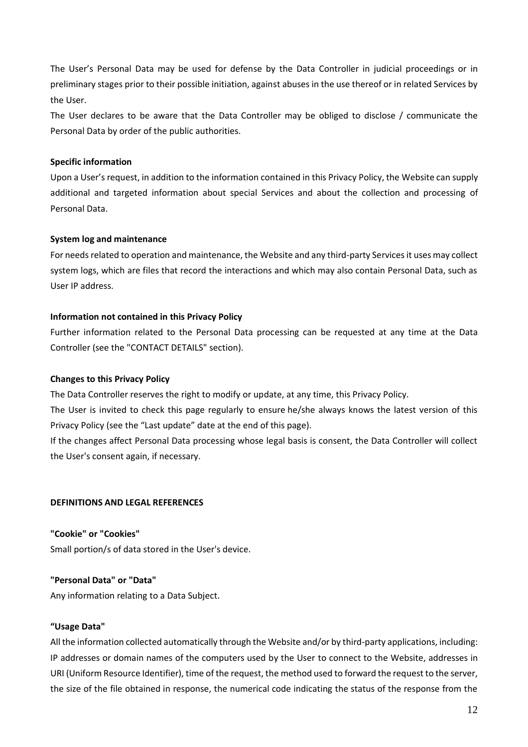The User's Personal Data may be used for defense by the Data Controller in judicial proceedings or in preliminary stages prior to their possible initiation, against abuses in the use thereof or in related Services by the User.

The User declares to be aware that the Data Controller may be obliged to disclose / communicate the Personal Data by order of the public authorities.

## **Specific information**

Upon a User's request, in addition to the information contained in this Privacy Policy, the Website can supply additional and targeted information about special Services and about the collection and processing of Personal Data.

### **System log and maintenance**

For needs related to operation and maintenance, the Website and any third-party Services it uses may collect system logs, which are files that record the interactions and which may also contain Personal Data, such as User IP address.

### **Information not contained in this Privacy Policy**

Further information related to the Personal Data processing can be requested at any time at the Data Controller (see the "CONTACT DETAILS" section).

### **Changes to this Privacy Policy**

The Data Controller reserves the right to modify or update, at any time, this Privacy Policy.

The User is invited to check this page regularly to ensure he/she always knows the latest version of this Privacy Policy (see the "Last update" date at the end of this page).

If the changes affect Personal Data processing whose legal basis is consent, the Data Controller will collect the User's consent again, if necessary.

### **DEFINITIONS AND LEGAL REFERENCES**

**"Cookie" or "Cookies"** Small portion/s of data stored in the User's device.

**"Personal Data" or "Data"** 

Any information relating to a Data Subject.

## **"Usage Data"**

All the information collected automatically through the Website and/or by third-party applications, including: IP addresses or domain names of the computers used by the User to connect to the Website, addresses in URI (Uniform Resource Identifier), time of the request, the method used to forward the request to the server, the size of the file obtained in response, the numerical code indicating the status of the response from the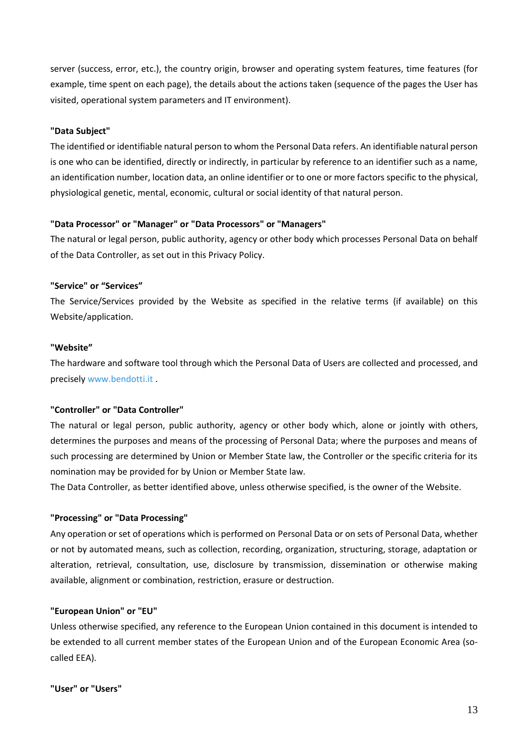server (success, error, etc.), the country origin, browser and operating system features, time features (for example, time spent on each page), the details about the actions taken (sequence of the pages the User has visited, operational system parameters and IT environment).

### **"Data Subject"**

The identified or identifiable natural person to whom the Personal Data refers. An identifiable natural person is one who can be identified, directly or indirectly, in particular by reference to an identifier such as a name, an identification number, location data, an online identifier or to one or more factors specific to the physical, physiological genetic, mental, economic, cultural or social identity of that natural person.

### **"Data Processor" or "Manager" or "Data Processors" or "Managers"**

The natural or legal person, public authority, agency or other body which processes Personal Data on behalf of the Data Controller, as set out in this Privacy Policy.

### **"Service" or "Services"**

The Service/Services provided by the Website as specified in the relative terms (if available) on this Website/application.

### **"Website"**

The hardware and software tool through which the Personal Data of Users are collected and processed, and precisel[y www.bendotti.it](http://www.bendotti.it/) .

## **"Controller" or "Data Controller"**

The natural or legal person, public authority, agency or other body which, alone or jointly with others, determines the purposes and means of the processing of Personal Data; where the purposes and means of such processing are determined by Union or Member State law, the Controller or the specific criteria for its nomination may be provided for by Union or Member State law.

The Data Controller, as better identified above, unless otherwise specified, is the owner of the Website.

## **"Processing" or "Data Processing"**

Any operation or set of operations which is performed on Personal Data or on sets of Personal Data, whether or not by automated means, such as collection, recording, organization, structuring, storage, adaptation or alteration, retrieval, consultation, use, disclosure by transmission, dissemination or otherwise making available, alignment or combination, restriction, erasure or destruction.

### **"European Union" or "EU"**

Unless otherwise specified, any reference to the European Union contained in this document is intended to be extended to all current member states of the European Union and of the European Economic Area (socalled EEA).